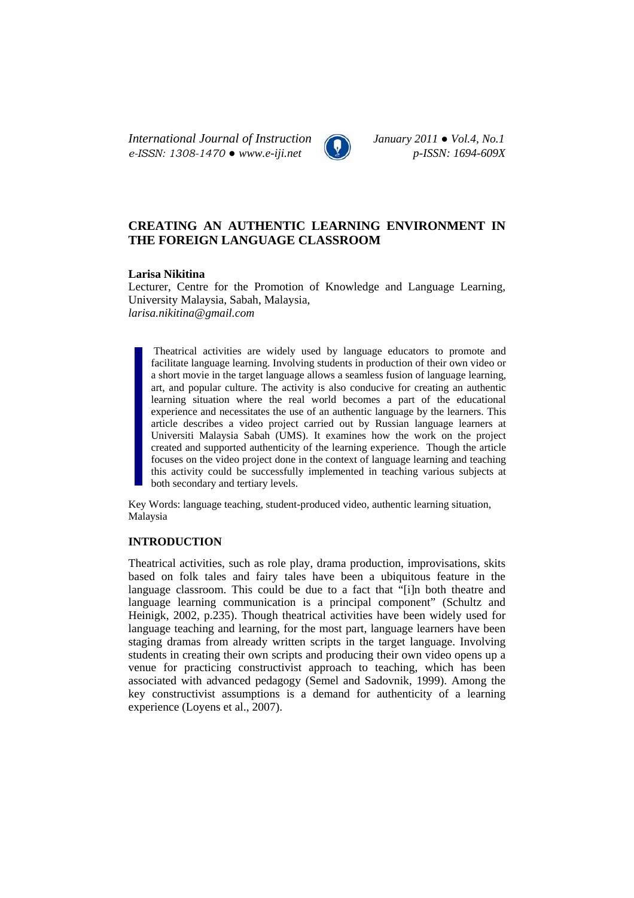*International Journal of Instruction January 2011 ● Vol.4, No.1 e-ISSN: 1308-1470 ● www.e-iji.net p-ISSN: 1694-609X*



# **CREATING AN AUTHENTIC LEARNING ENVIRONMENT IN THE FOREIGN LANGUAGE CLASSROOM**

# **Larisa Nikitina**

Lecturer, Centre for the Promotion of Knowledge and Language Learning, University Malaysia, Sabah, Malaysia, *larisa.nikitina@gmail.com*

Theatrical activities are widely used by language educators to promote and facilitate language learning. Involving students in production of their own video or a short movie in the target language allows a seamless fusion of language learning, art, and popular culture. The activity is also conducive for creating an authentic learning situation where the real world becomes a part of the educational experience and necessitates the use of an authentic language by the learners. This article describes a video project carried out by Russian language learners at Universiti Malaysia Sabah (UMS). It examines how the work on the project created and supported authenticity of the learning experience. Though the article focuses on the video project done in the context of language learning and teaching this activity could be successfully implemented in teaching various subjects at both secondary and tertiary levels.

Key Words: language teaching, student-produced video, authentic learning situation, Malaysia

# **INTRODUCTION**

Theatrical activities, such as role play, drama production, improvisations, skits based on folk tales and fairy tales have been a ubiquitous feature in the language classroom. This could be due to a fact that "[i]n both theatre and language learning communication is a principal component" (Schultz and Heinigk, 2002, p.235). Though theatrical activities have been widely used for language teaching and learning, for the most part, language learners have been staging dramas from already written scripts in the target language. Involving students in creating their own scripts and producing their own video opens up a venue for practicing constructivist approach to teaching, which has been associated with advanced pedagogy (Semel and Sadovnik, 1999). Among the key constructivist assumptions is a demand for authenticity of a learning experience (Loyens et al., 2007).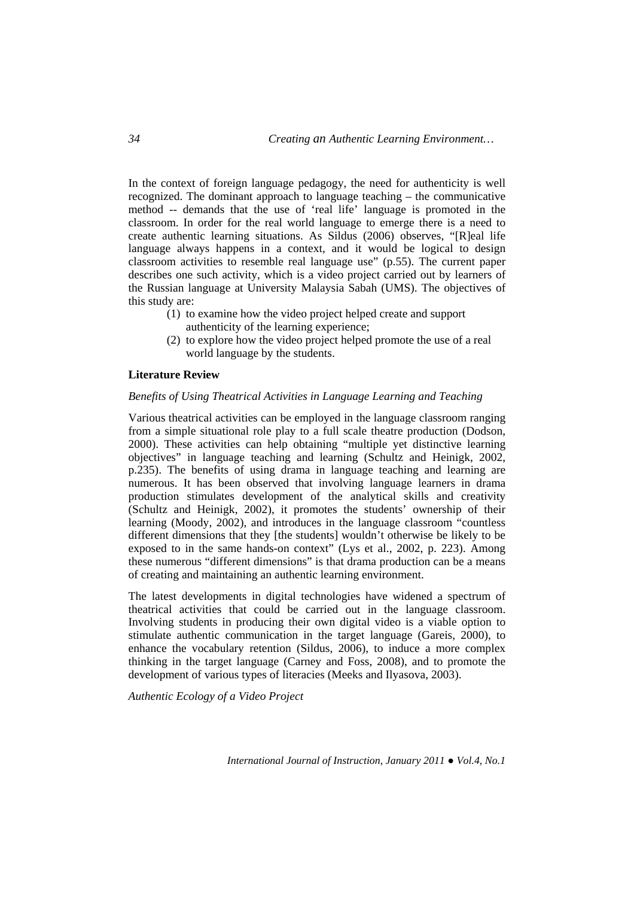In the context of foreign language pedagogy, the need for authenticity is well recognized. The dominant approach to language teaching – the communicative method -- demands that the use of 'real life' language is promoted in the classroom. In order for the real world language to emerge there is a need to create authentic learning situations. As Sildus (2006) observes, "[R]eal life language always happens in a context, and it would be logical to design classroom activities to resemble real language use" (p.55). The current paper describes one such activity, which is a video project carried out by learners of the Russian language at University Malaysia Sabah (UMS). The objectives of this study are:

- (1) to examine how the video project helped create and support authenticity of the learning experience;
- (2) to explore how the video project helped promote the use of a real world language by the students.

### **Literature Review**

# *Benefits of Using Theatrical Activities in Language Learning and Teaching*

Various theatrical activities can be employed in the language classroom ranging from a simple situational role play to a full scale theatre production (Dodson, 2000). These activities can help obtaining "multiple yet distinctive learning objectives" in language teaching and learning (Schultz and Heinigk, 2002, p.235). The benefits of using drama in language teaching and learning are numerous. It has been observed that involving language learners in drama production stimulates development of the analytical skills and creativity (Schultz and Heinigk, 2002), it promotes the students' ownership of their learning (Moody, 2002), and introduces in the language classroom "countless different dimensions that they [the students] wouldn't otherwise be likely to be exposed to in the same hands-on context" (Lys et al., 2002, p. 223). Among these numerous "different dimensions" is that drama production can be a means of creating and maintaining an authentic learning environment.

The latest developments in digital technologies have widened a spectrum of theatrical activities that could be carried out in the language classroom. Involving students in producing their own digital video is a viable option to stimulate authentic communication in the target language (Gareis, 2000), to enhance the vocabulary retention (Sildus, 2006), to induce a more complex thinking in the target language (Carney and Foss, 2008), and to promote the development of various types of literacies (Meeks and Ilyasova, 2003).

*Authentic Ecology of a Video Project*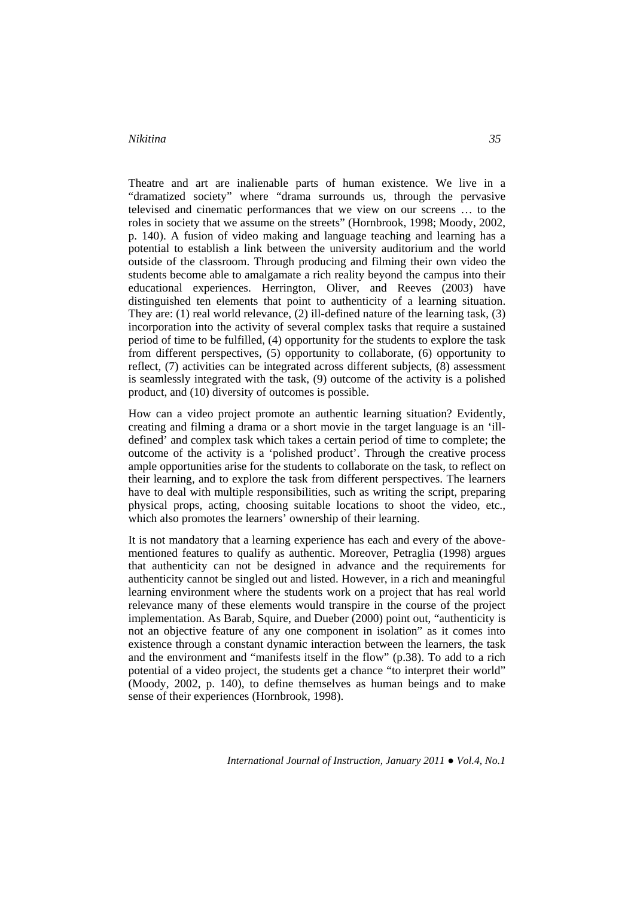Theatre and art are inalienable parts of human existence. We live in a "dramatized society" where "drama surrounds us, through the pervasive televised and cinematic performances that we view on our screens … to the roles in society that we assume on the streets" (Hornbrook, 1998; Moody, 2002, p. 140). A fusion of video making and language teaching and learning has a potential to establish a link between the university auditorium and the world outside of the classroom. Through producing and filming their own video the students become able to amalgamate a rich reality beyond the campus into their educational experiences. Herrington, Oliver, and Reeves (2003) have distinguished ten elements that point to authenticity of a learning situation. They are: (1) real world relevance, (2) ill-defined nature of the learning task, (3) incorporation into the activity of several complex tasks that require a sustained period of time to be fulfilled, (4) opportunity for the students to explore the task from different perspectives, (5) opportunity to collaborate, (6) opportunity to reflect, (7) activities can be integrated across different subjects, (8) assessment is seamlessly integrated with the task, (9) outcome of the activity is a polished product, and (10) diversity of outcomes is possible.

How can a video project promote an authentic learning situation? Evidently, creating and filming a drama or a short movie in the target language is an 'illdefined' and complex task which takes a certain period of time to complete; the outcome of the activity is a 'polished product'. Through the creative process ample opportunities arise for the students to collaborate on the task, to reflect on their learning, and to explore the task from different perspectives. The learners have to deal with multiple responsibilities, such as writing the script, preparing physical props, acting, choosing suitable locations to shoot the video, etc., which also promotes the learners' ownership of their learning.

It is not mandatory that a learning experience has each and every of the abovementioned features to qualify as authentic. Moreover, Petraglia (1998) argues that authenticity can not be designed in advance and the requirements for authenticity cannot be singled out and listed. However, in a rich and meaningful learning environment where the students work on a project that has real world relevance many of these elements would transpire in the course of the project implementation. As Barab, Squire, and Dueber (2000) point out, "authenticity is not an objective feature of any one component in isolation" as it comes into existence through a constant dynamic interaction between the learners, the task and the environment and "manifests itself in the flow" (p.38). To add to a rich potential of a video project, the students get a chance "to interpret their world" (Moody, 2002, p. 140), to define themselves as human beings and to make sense of their experiences (Hornbrook, 1998).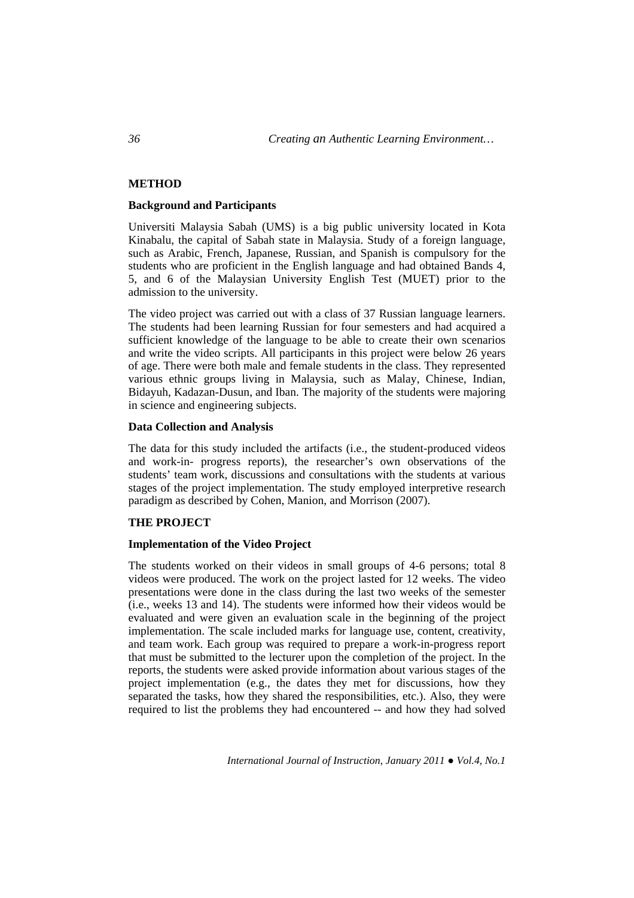# **METHOD**

#### **Background and Participants**

Universiti Malaysia Sabah (UMS) is a big public university located in Kota Kinabalu, the capital of Sabah state in Malaysia. Study of a foreign language, such as Arabic, French, Japanese, Russian, and Spanish is compulsory for the students who are proficient in the English language and had obtained Bands 4, 5, and 6 of the Malaysian University English Test (MUET) prior to the admission to the university.

The video project was carried out with a class of 37 Russian language learners. The students had been learning Russian for four semesters and had acquired a sufficient knowledge of the language to be able to create their own scenarios and write the video scripts. All participants in this project were below 26 years of age. There were both male and female students in the class. They represented various ethnic groups living in Malaysia, such as Malay, Chinese, Indian, Bidayuh, Kadazan-Dusun, and Iban. The majority of the students were majoring in science and engineering subjects.

#### **Data Collection and Analysis**

The data for this study included the artifacts (i.e., the student-produced videos and work-in- progress reports), the researcher's own observations of the students' team work, discussions and consultations with the students at various stages of the project implementation. The study employed interpretive research paradigm as described by Cohen, Manion, and Morrison (2007).

# **THE PROJECT**

#### **Implementation of the Video Project**

The students worked on their videos in small groups of 4-6 persons; total 8 videos were produced. The work on the project lasted for 12 weeks. The video presentations were done in the class during the last two weeks of the semester (i.e., weeks 13 and 14). The students were informed how their videos would be evaluated and were given an evaluation scale in the beginning of the project implementation. The scale included marks for language use, content, creativity, and team work. Each group was required to prepare a work-in-progress report that must be submitted to the lecturer upon the completion of the project. In the reports, the students were asked provide information about various stages of the project implementation (e.g., the dates they met for discussions, how they separated the tasks, how they shared the responsibilities, etc.). Also, they were required to list the problems they had encountered -- and how they had solved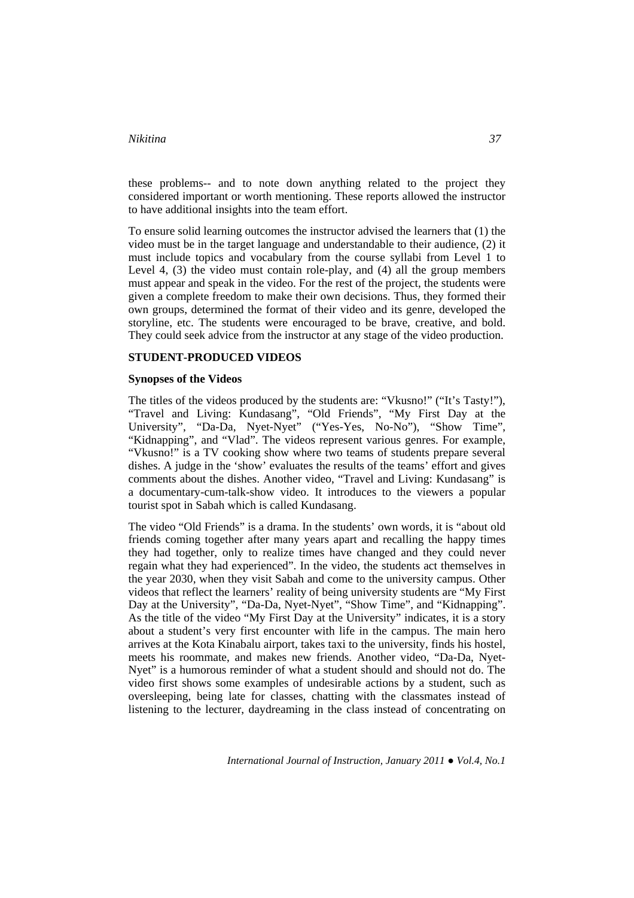these problems-- and to note down anything related to the project they considered important or worth mentioning. These reports allowed the instructor to have additional insights into the team effort.

To ensure solid learning outcomes the instructor advised the learners that (1) the video must be in the target language and understandable to their audience, (2) it must include topics and vocabulary from the course syllabi from Level 1 to Level 4, (3) the video must contain role-play, and (4) all the group members must appear and speak in the video. For the rest of the project, the students were given a complete freedom to make their own decisions. Thus, they formed their own groups, determined the format of their video and its genre, developed the storyline, etc. The students were encouraged to be brave, creative, and bold. They could seek advice from the instructor at any stage of the video production.

# **STUDENT-PRODUCED VIDEOS**

#### **Synopses of the Videos**

The titles of the videos produced by the students are: "Vkusno!" ("It's Tasty!"), "Travel and Living: Kundasang", "Old Friends", "My First Day at the University", "Da-Da, Nyet-Nyet" ("Yes-Yes, No-No"), "Show Time", "Kidnapping", and "Vlad". The videos represent various genres. For example, "Vkusno!" is a TV cooking show where two teams of students prepare several dishes. A judge in the 'show' evaluates the results of the teams' effort and gives comments about the dishes. Another video, "Travel and Living: Kundasang" is a documentary-cum-talk-show video. It introduces to the viewers a popular tourist spot in Sabah which is called Kundasang.

The video "Old Friends" is a drama. In the students' own words, it is "about old friends coming together after many years apart and recalling the happy times they had together, only to realize times have changed and they could never regain what they had experienced". In the video, the students act themselves in the year 2030, when they visit Sabah and come to the university campus. Other videos that reflect the learners' reality of being university students are "My First Day at the University", "Da-Da, Nyet-Nyet", "Show Time", and "Kidnapping". As the title of the video "My First Day at the University" indicates, it is a story about a student's very first encounter with life in the campus. The main hero arrives at the Kota Kinabalu airport, takes taxi to the university, finds his hostel, meets his roommate, and makes new friends. Another video, "Da-Da, Nyet-Nyet" is a humorous reminder of what a student should and should not do. The video first shows some examples of undesirable actions by a student, such as oversleeping, being late for classes, chatting with the classmates instead of listening to the lecturer, daydreaming in the class instead of concentrating on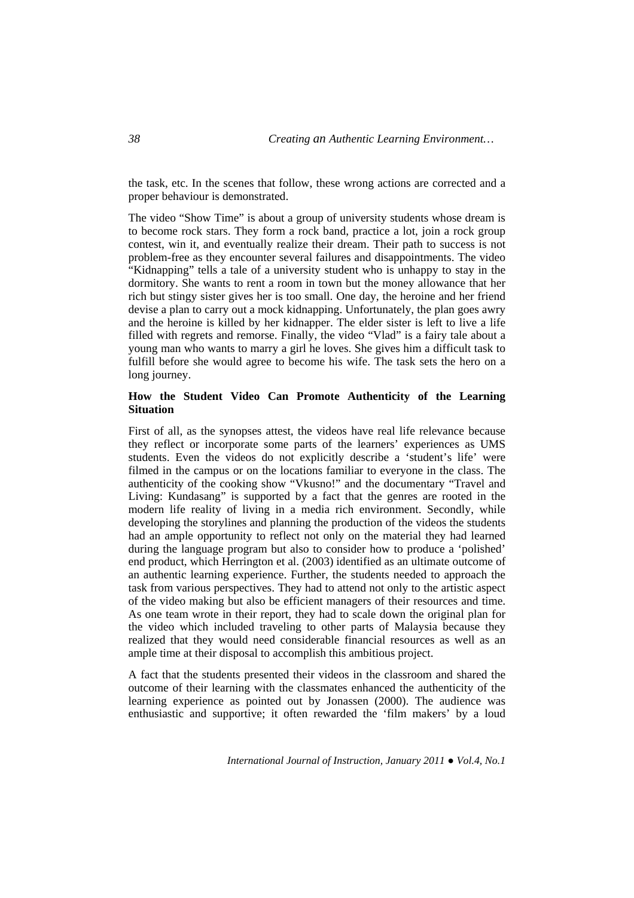the task, etc. In the scenes that follow, these wrong actions are corrected and a proper behaviour is demonstrated.

The video "Show Time" is about a group of university students whose dream is to become rock stars. They form a rock band, practice a lot, join a rock group contest, win it, and eventually realize their dream. Their path to success is not problem-free as they encounter several failures and disappointments. The video "Kidnapping" tells a tale of a university student who is unhappy to stay in the dormitory. She wants to rent a room in town but the money allowance that her rich but stingy sister gives her is too small. One day, the heroine and her friend devise a plan to carry out a mock kidnapping. Unfortunately, the plan goes awry and the heroine is killed by her kidnapper. The elder sister is left to live a life filled with regrets and remorse. Finally, the video "Vlad" is a fairy tale about a young man who wants to marry a girl he loves. She gives him a difficult task to fulfill before she would agree to become his wife. The task sets the hero on a long journey.

# **How the Student Video Can Promote Authenticity of the Learning Situation**

First of all, as the synopses attest, the videos have real life relevance because they reflect or incorporate some parts of the learners' experiences as UMS students. Even the videos do not explicitly describe a 'student's life' were filmed in the campus or on the locations familiar to everyone in the class. The authenticity of the cooking show "Vkusno!" and the documentary "Travel and Living: Kundasang" is supported by a fact that the genres are rooted in the modern life reality of living in a media rich environment. Secondly, while developing the storylines and planning the production of the videos the students had an ample opportunity to reflect not only on the material they had learned during the language program but also to consider how to produce a 'polished' end product, which Herrington et al. (2003) identified as an ultimate outcome of an authentic learning experience. Further, the students needed to approach the task from various perspectives. They had to attend not only to the artistic aspect of the video making but also be efficient managers of their resources and time. As one team wrote in their report, they had to scale down the original plan for the video which included traveling to other parts of Malaysia because they realized that they would need considerable financial resources as well as an ample time at their disposal to accomplish this ambitious project.

A fact that the students presented their videos in the classroom and shared the outcome of their learning with the classmates enhanced the authenticity of the learning experience as pointed out by Jonassen (2000). The audience was enthusiastic and supportive; it often rewarded the 'film makers' by a loud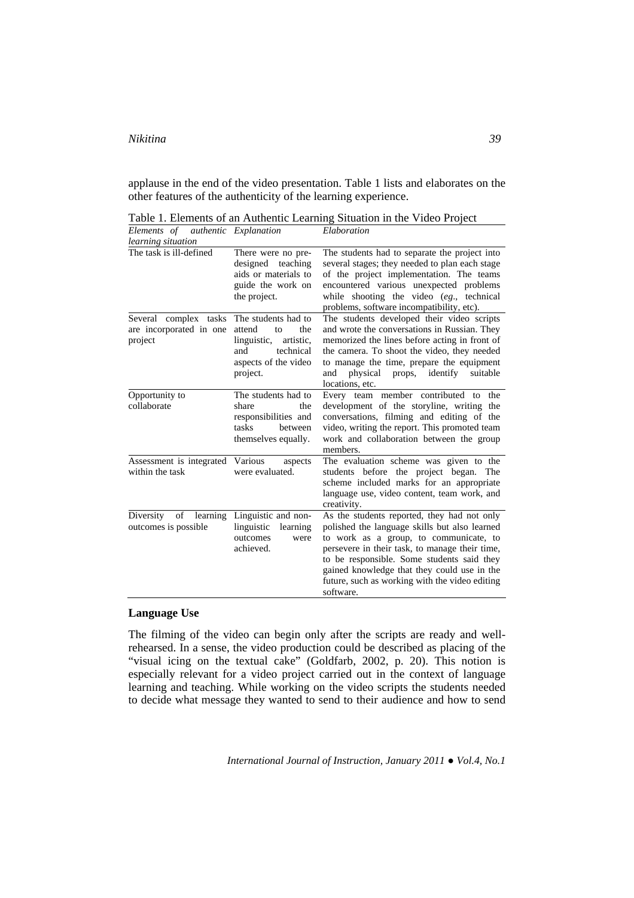applause in the end of the video presentation. Table 1 lists and elaborates on the other features of the authenticity of the learning experience.

Table 1. Elements of an Authentic Learning Situation in the Video Project *Elements of authentic Explanation Elaboration* 

| <i>learning situation</i>                                   |                                                                                                                                |                                                                                                                                                                                                                                                                                                                                                      |
|-------------------------------------------------------------|--------------------------------------------------------------------------------------------------------------------------------|------------------------------------------------------------------------------------------------------------------------------------------------------------------------------------------------------------------------------------------------------------------------------------------------------------------------------------------------------|
| The task is ill-defined                                     | There were no pre-<br>designed<br>teaching<br>aids or materials to<br>guide the work on<br>the project.                        | The students had to separate the project into<br>several stages; they needed to plan each stage<br>of the project implementation. The teams<br>encountered various unexpected problems<br>while shooting the video (eg., technical<br>problems, software incompatibility, etc).                                                                      |
| Several complex tasks<br>are incorporated in one<br>project | The students had to<br>attend<br>the<br>to<br>linguistic,<br>artistic.<br>technical<br>and<br>aspects of the video<br>project. | The students developed their video scripts<br>and wrote the conversations in Russian. They<br>memorized the lines before acting in front of<br>the camera. To shoot the video, they needed<br>to manage the time, prepare the equipment<br>physical<br>props,<br>identify<br>suitable<br>and<br>locations, etc.                                      |
| Opportunity to<br>collaborate                               | The students had to<br>share<br>the<br>responsibilities and<br>tasks<br>between<br>themselves equally.                         | Every team member contributed to<br>the<br>development of the storyline, writing the<br>conversations, filming and editing of the<br>video, writing the report. This promoted team<br>work and collaboration between the group<br>members.                                                                                                           |
| Assessment is integrated<br>within the task                 | Various<br>aspects<br>were evaluated.                                                                                          | The evaluation scheme was given to the<br>students before the project began.<br>The<br>scheme included marks for an appropriate<br>language use, video content, team work, and<br>creativity.                                                                                                                                                        |
| Diversity of<br>learning<br>outcomes is possible.           | Linguistic and non-<br>linguistic<br>learning<br>outcomes<br>were<br>achieved.                                                 | As the students reported, they had not only<br>polished the language skills but also learned<br>to work as a group, to communicate, to<br>persevere in their task, to manage their time,<br>to be responsible. Some students said they<br>gained knowledge that they could use in the<br>future, such as working with the video editing<br>software. |

# **Language Use**

The filming of the video can begin only after the scripts are ready and wellrehearsed. In a sense, the video production could be described as placing of the "visual icing on the textual cake" (Goldfarb, 2002, p. 20). This notion is especially relevant for a video project carried out in the context of language learning and teaching. While working on the video scripts the students needed to decide what message they wanted to send to their audience and how to send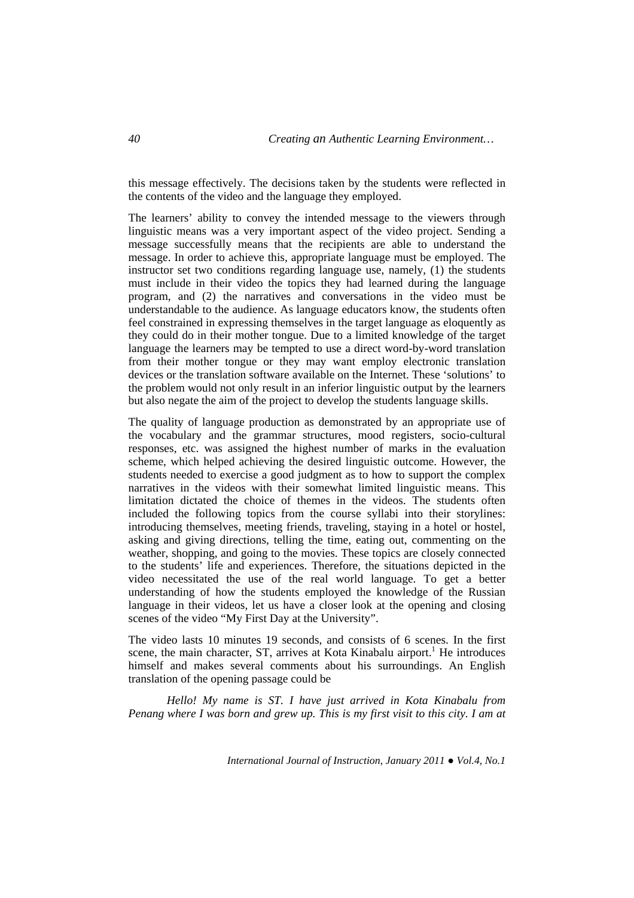this message effectively. The decisions taken by the students were reflected in the contents of the video and the language they employed.

The learners' ability to convey the intended message to the viewers through linguistic means was a very important aspect of the video project. Sending a message successfully means that the recipients are able to understand the message. In order to achieve this, appropriate language must be employed. The instructor set two conditions regarding language use, namely, (1) the students must include in their video the topics they had learned during the language program, and (2) the narratives and conversations in the video must be understandable to the audience. As language educators know, the students often feel constrained in expressing themselves in the target language as eloquently as they could do in their mother tongue. Due to a limited knowledge of the target language the learners may be tempted to use a direct word-by-word translation from their mother tongue or they may want employ electronic translation devices or the translation software available on the Internet. These 'solutions' to the problem would not only result in an inferior linguistic output by the learners but also negate the aim of the project to develop the students language skills.

The quality of language production as demonstrated by an appropriate use of the vocabulary and the grammar structures, mood registers, socio-cultural responses, etc. was assigned the highest number of marks in the evaluation scheme, which helped achieving the desired linguistic outcome. However, the students needed to exercise a good judgment as to how to support the complex narratives in the videos with their somewhat limited linguistic means. This limitation dictated the choice of themes in the videos. The students often included the following topics from the course syllabi into their storylines: introducing themselves, meeting friends, traveling, staying in a hotel or hostel, asking and giving directions, telling the time, eating out, commenting on the weather, shopping, and going to the movies. These topics are closely connected to the students' life and experiences. Therefore, the situations depicted in the video necessitated the use of the real world language. To get a better understanding of how the students employed the knowledge of the Russian language in their videos, let us have a closer look at the opening and closing scenes of the video "My First Day at the University".

The video lasts 10 minutes 19 seconds, and consists of 6 scenes. In the first scene, the main character, ST, arrives at Kota Kinabalu airport.<sup>1</sup> He introduces himself and makes several comments about his surroundings. An English translation of the opening passage could be

*Hello! My name is ST. I have just arrived in Kota Kinabalu from Penang where I was born and grew up. This is my first visit to this city. I am at*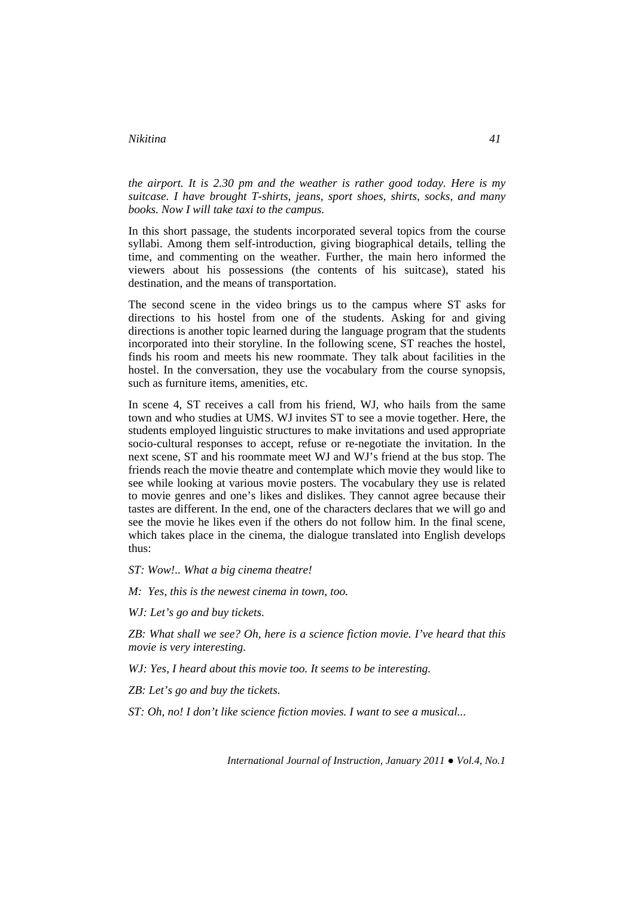*the airport. It is 2.30 pm and the weather is rather good today. Here is my suitcase. I have brought T-shirts, jeans, sport shoes, shirts, socks, and many books. Now I will take taxi to the campus.* 

In this short passage, the students incorporated several topics from the course syllabi. Among them self-introduction, giving biographical details, telling the time, and commenting on the weather. Further, the main hero informed the viewers about his possessions (the contents of his suitcase), stated his destination, and the means of transportation.

The second scene in the video brings us to the campus where ST asks for directions to his hostel from one of the students. Asking for and giving directions is another topic learned during the language program that the students incorporated into their storyline. In the following scene, ST reaches the hostel, finds his room and meets his new roommate. They talk about facilities in the hostel. In the conversation, they use the vocabulary from the course synopsis, such as furniture items, amenities, etc.

In scene 4, ST receives a call from his friend, WJ, who hails from the same town and who studies at UMS. WJ invites ST to see a movie together. Here, the students employed linguistic structures to make invitations and used appropriate socio-cultural responses to accept, refuse or re-negotiate the invitation. In the next scene, ST and his roommate meet WJ and WJ's friend at the bus stop. The friends reach the movie theatre and contemplate which movie they would like to see while looking at various movie posters. The vocabulary they use is related to movie genres and one's likes and dislikes. They cannot agree because their tastes are different. In the end, one of the characters declares that we will go and see the movie he likes even if the others do not follow him. In the final scene, which takes place in the cinema, the dialogue translated into English develops thus:

*ST: Wow!.. What a big cinema theatre!* 

*M: Yes, this is the newest cinema in town, too.* 

*WJ: Let's go and buy tickets.* 

*ZB: What shall we see? Oh, here is a science fiction movie. I've heard that this movie is very interesting.* 

*WJ: Yes, I heard about this movie too. It seems to be interesting.* 

*ZB: Let's go and buy the tickets.* 

*ST: Oh, no! I don't like science fiction movies. I want to see a musical...*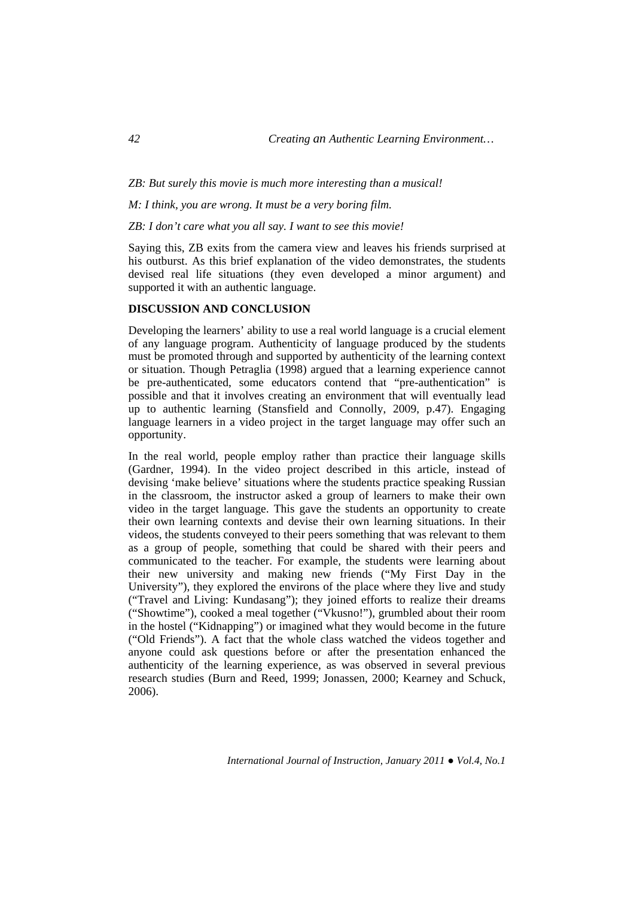### *ZB: But surely this movie is much more interesting than a musical!*

*M: I think, you are wrong. It must be a very boring film.* 

#### *ZB: I don't care what you all say. I want to see this movie!*

Saying this, ZB exits from the camera view and leaves his friends surprised at his outburst. As this brief explanation of the video demonstrates, the students devised real life situations (they even developed a minor argument) and supported it with an authentic language.

# **DISCUSSION AND CONCLUSION**

Developing the learners' ability to use a real world language is a crucial element of any language program. Authenticity of language produced by the students must be promoted through and supported by authenticity of the learning context or situation. Though Petraglia (1998) argued that a learning experience cannot be pre-authenticated, some educators contend that "pre-authentication" is possible and that it involves creating an environment that will eventually lead up to authentic learning (Stansfield and Connolly, 2009, p.47). Engaging language learners in a video project in the target language may offer such an opportunity.

In the real world, people employ rather than practice their language skills (Gardner, 1994). In the video project described in this article, instead of devising 'make believe' situations where the students practice speaking Russian in the classroom, the instructor asked a group of learners to make their own video in the target language. This gave the students an opportunity to create their own learning contexts and devise their own learning situations. In their videos, the students conveyed to their peers something that was relevant to them as a group of people, something that could be shared with their peers and communicated to the teacher. For example, the students were learning about their new university and making new friends ("My First Day in the University"), they explored the environs of the place where they live and study ("Travel and Living: Kundasang"); they joined efforts to realize their dreams ("Showtime"), cooked a meal together ("Vkusno!"), grumbled about their room in the hostel ("Kidnapping") or imagined what they would become in the future ("Old Friends"). A fact that the whole class watched the videos together and anyone could ask questions before or after the presentation enhanced the authenticity of the learning experience, as was observed in several previous research studies (Burn and Reed, 1999; Jonassen, 2000; Kearney and Schuck, 2006).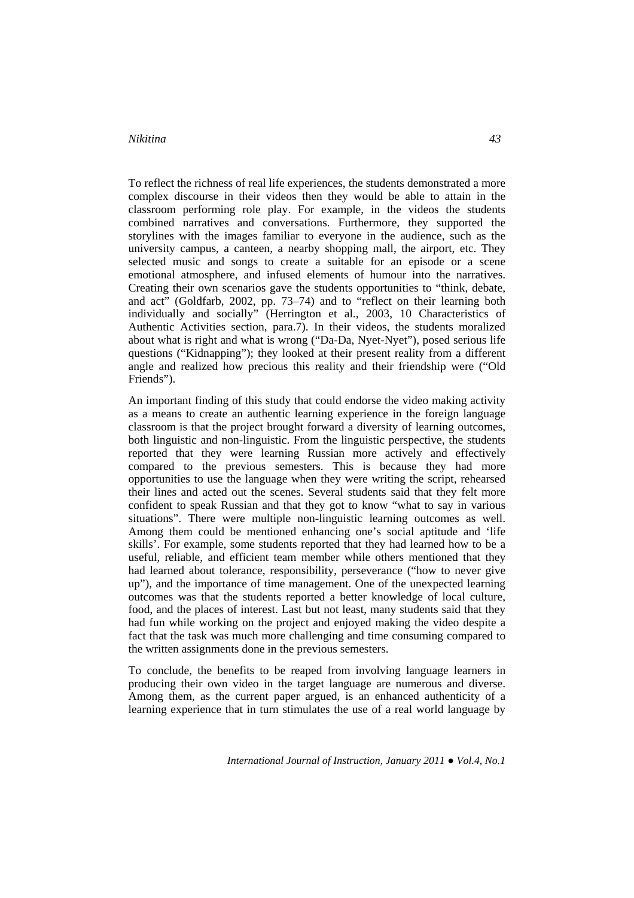To reflect the richness of real life experiences, the students demonstrated a more complex discourse in their videos then they would be able to attain in the classroom performing role play. For example, in the videos the students combined narratives and conversations. Furthermore, they supported the storylines with the images familiar to everyone in the audience, such as the university campus, a canteen, a nearby shopping mall, the airport, etc. They selected music and songs to create a suitable for an episode or a scene emotional atmosphere, and infused elements of humour into the narratives. Creating their own scenarios gave the students opportunities to "think, debate, and act" (Goldfarb, 2002, pp. 73–74) and to "reflect on their learning both individually and socially" (Herrington et al., 2003, 10 Characteristics of Authentic Activities section, para.7). In their videos, the students moralized about what is right and what is wrong ("Da-Da, Nyet-Nyet"), posed serious life questions ("Kidnapping"); they looked at their present reality from a different angle and realized how precious this reality and their friendship were ("Old Friends").

An important finding of this study that could endorse the video making activity as a means to create an authentic learning experience in the foreign language classroom is that the project brought forward a diversity of learning outcomes, both linguistic and non-linguistic. From the linguistic perspective, the students reported that they were learning Russian more actively and effectively compared to the previous semesters. This is because they had more opportunities to use the language when they were writing the script, rehearsed their lines and acted out the scenes. Several students said that they felt more confident to speak Russian and that they got to know "what to say in various situations". There were multiple non-linguistic learning outcomes as well. Among them could be mentioned enhancing one's social aptitude and 'life skills'. For example, some students reported that they had learned how to be a useful, reliable, and efficient team member while others mentioned that they had learned about tolerance, responsibility, perseverance ("how to never give up"), and the importance of time management. One of the unexpected learning outcomes was that the students reported a better knowledge of local culture, food, and the places of interest. Last but not least, many students said that they had fun while working on the project and enjoyed making the video despite a fact that the task was much more challenging and time consuming compared to the written assignments done in the previous semesters.

To conclude, the benefits to be reaped from involving language learners in producing their own video in the target language are numerous and diverse. Among them, as the current paper argued, is an enhanced authenticity of a learning experience that in turn stimulates the use of a real world language by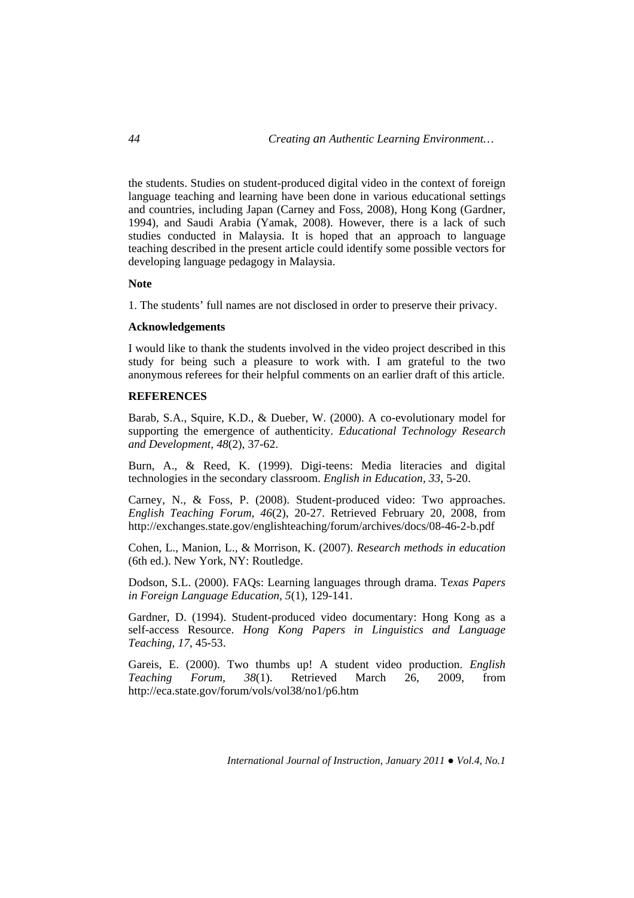the students. Studies on student-produced digital video in the context of foreign language teaching and learning have been done in various educational settings and countries, including Japan (Carney and Foss, 2008), Hong Kong (Gardner, 1994), and Saudi Arabia (Yamak, 2008). However, there is a lack of such studies conducted in Malaysia. It is hoped that an approach to language teaching described in the present article could identify some possible vectors for developing language pedagogy in Malaysia.

#### **Note**

1. The students' full names are not disclosed in order to preserve their privacy.

#### **Acknowledgements**

I would like to thank the students involved in the video project described in this study for being such a pleasure to work with. I am grateful to the two anonymous referees for their helpful comments on an earlier draft of this article.

### **REFERENCES**

Barab, S.A., Squire, K.D., & Dueber, W. (2000). A co-evolutionary model for supporting the emergence of authenticity. *Educational Technology Research and Development, 48*(2), 37-62.

Burn, A., & Reed, K. (1999). Digi-teens: Media literacies and digital technologies in the secondary classroom. *English in Education, 33*, 5-20.

Carney, N., & Foss, P. (2008). Student-produced video: Two approaches. *English Teaching Forum, 46*(2), 20-27. Retrieved February 20, 2008, from http://exchanges.state.gov/englishteaching/forum/archives/docs/08-46-2-b.pdf

Cohen, L., Manion, L., & Morrison, K. (2007). *Research methods in education*  (6th ed.). New York, NY: Routledge.

Dodson, S.L. (2000). FAQs: Learning languages through drama. T*exas Papers in Foreign Language Education, 5*(1), 129-141.

Gardner, D. (1994). Student-produced video documentary: Hong Kong as a self-access Resource. *Hong Kong Papers in Linguistics and Language Teaching, 17,* 45-53.

Gareis, E. (2000). Two thumbs up! A student video production. *English Teaching Forum, 38*(1). Retrieved March 26, 2009, from http://eca.state.gov/forum/vols/vol38/no1/p6.htm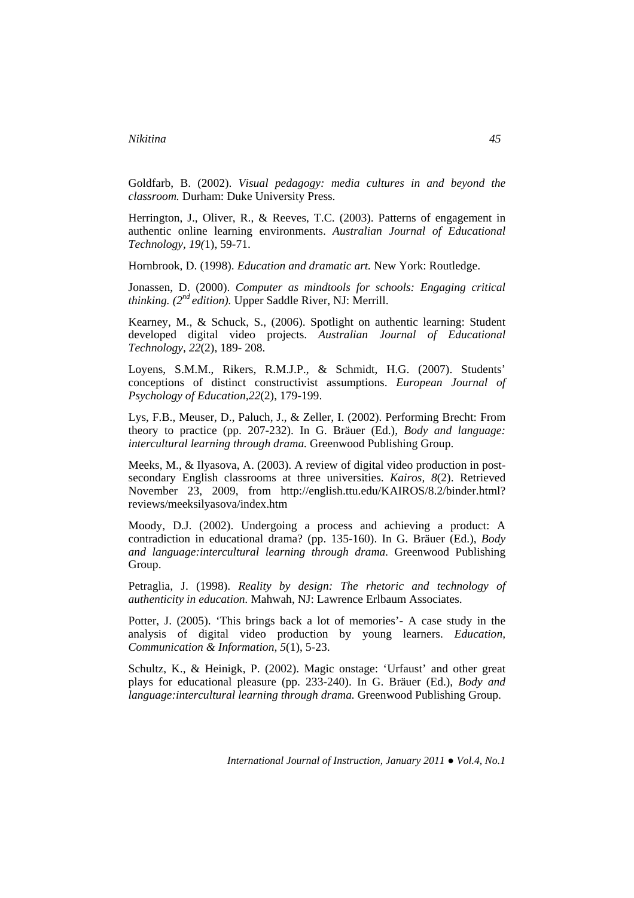Goldfarb, B. (2002). *Visual pedagogy: media cultures in and beyond the classroom.* Durham: Duke University Press.

Herrington, J., Oliver, R., & Reeves, T.C. (2003). Patterns of engagement in authentic online learning environments. *Australian Journal of Educational Technology, 19(*1), 59-71.

Hornbrook, D. (1998). *Education and dramatic art.* New York: Routledge.

Jonassen, D. (2000). *Computer as mindtools for schools: Engaging critical thinking. (2nd edition).* Upper Saddle River, NJ: Merrill.

Kearney, M., & Schuck, S., (2006). Spotlight on authentic learning: Student developed digital video projects. *Australian Journal of Educational Technology, 22*(2), 189- 208.

Loyens, S.M.M., Rikers, R.M.J.P., & Schmidt, H.G. (2007). Students' conceptions of distinct constructivist assumptions. *European Journal of Psychology of Education,22*(2), 179-199.

Lys, F.B., Meuser, D., Paluch, J., & Zeller, I. (2002). Performing Brecht: From theory to practice (pp. 207-232). In G. Bräuer (Ed.), *Body and language: intercultural learning through drama.* Greenwood Publishing Group.

Meeks, M., & Ilyasova, A. (2003). A review of digital video production in postsecondary English classrooms at three universities. *Kairos, 8*(2). Retrieved November 23, 2009, from http://english.ttu.edu/KAIROS/8.2/binder.html? reviews/meeksilyasova/index.htm

Moody, D.J. (2002). Undergoing a process and achieving a product: A contradiction in educational drama? (pp. 135-160). In G. Bräuer (Ed.), *Body and language:intercultural learning through drama.* Greenwood Publishing Group.

Petraglia, J. (1998). *Reality by design: The rhetoric and technology of authenticity in education.* Mahwah, NJ: Lawrence Erlbaum Associates.

Potter, J. (2005). 'This brings back a lot of memories'- A case study in the analysis of digital video production by young learners. *Education, Communication & Information, 5*(1), 5-23.

Schultz, K., & Heinigk, P. (2002). Magic onstage: 'Urfaust' and other great plays for educational pleasure (pp. 233-240). In G. Bräuer (Ed.), *Body and language:intercultural learning through drama.* Greenwood Publishing Group.